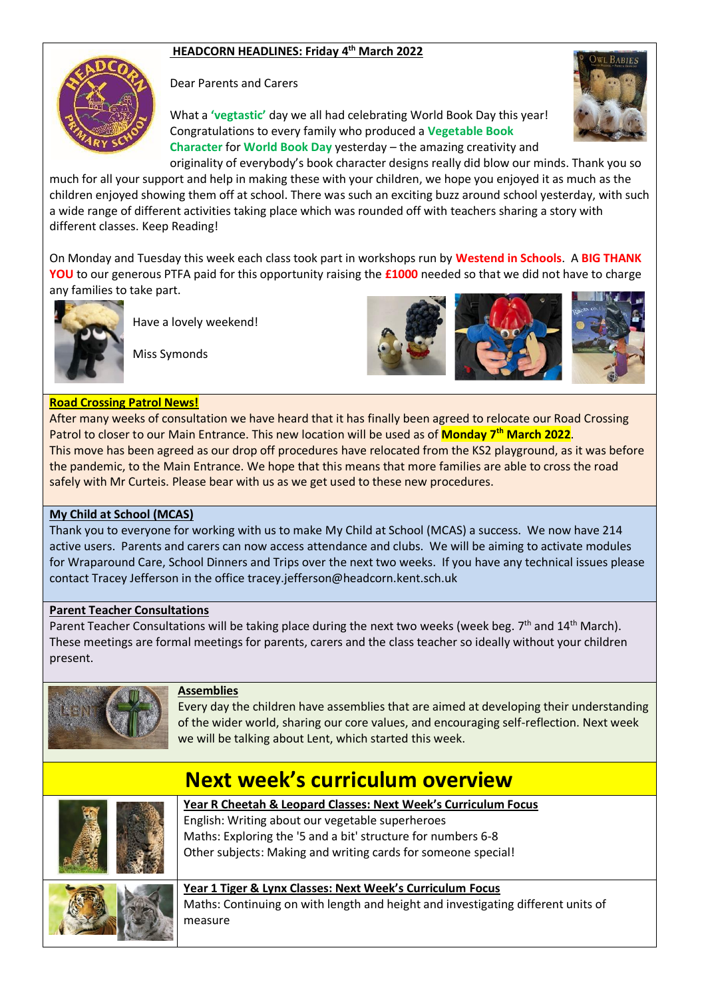# **HEADCORN HEADLINES: Friday 4 th March 2022**



Dear Parents and Carers

What a **'vegtastic'** day we all had celebrating World Book Day this year! Congratulations to every family who produced a **Vegetable Book Character** for **World Book Day** yesterday – the amazing creativity and originality of everybody's book character designs really did blow our minds. Thank you so



much for all your support and help in making these with your children, we hope you enjoyed it as much as the children enjoyed showing them off at school. There was such an exciting buzz around school yesterday, with such a wide range of different activities taking place which was rounded off with teachers sharing a story with different classes. Keep Reading!

On Monday and Tuesday this week each class took part in workshops run by **Westend in Schools**. A **BIG THANK YOU** to our generous PTFA paid for this opportunity raising the **£1000** needed so that we did not have to charge any families to take part.



Miss Symonds

Have a lovely weekend!



## **Road Crossing Patrol News!**

After many weeks of consultation we have heard that it has finally been agreed to relocate our Road Crossing Patrol to closer to our Main Entrance. This new location will be used as of **Monday 7th March 2022**. This move has been agreed as our drop off procedures have relocated from the KS2 playground, as it was before the pandemic, to the Main Entrance. We hope that this means that more families are able to cross the road safely with Mr Curteis. Please bear with us as we get used to these new procedures.

### **My Child at School (MCAS)**

Thank you to everyone for working with us to make My Child at School (MCAS) a success. We now have 214 active users. Parents and carers can now access attendance and clubs. We will be aiming to activate modules for Wraparound Care, School Dinners and Trips over the next two weeks. If you have any technical issues please contact Tracey Jefferson in the office tracey.jefferson@headcorn.kent.sch.uk

### **Parent Teacher Consultations**

Parent Teacher Consultations will be taking place during the next two weeks (week beg. 7<sup>th</sup> and 14<sup>th</sup> March). These meetings are formal meetings for parents, carers and the class teacher so ideally without your children present.



### **Assemblies**

Every day the children have assemblies that are aimed at developing their understanding of the wider world, sharing our core values, and encouraging self-reflection. Next week we will be talking about Lent, which started this week.

| <b>Next week's curriculum overview</b>                                                                                                                                                                                                              |
|-----------------------------------------------------------------------------------------------------------------------------------------------------------------------------------------------------------------------------------------------------|
| Year R Cheetah & Leopard Classes: Next Week's Curriculum Focus<br>English: Writing about our vegetable superheroes<br>Maths: Exploring the '5 and a bit' structure for numbers 6-8<br>Other subjects: Making and writing cards for someone special! |
| Year 1 Tiger & Lynx Classes: Next Week's Curriculum Focus<br>Maths: Continuing on with length and height and investigating different units of<br>measure                                                                                            |